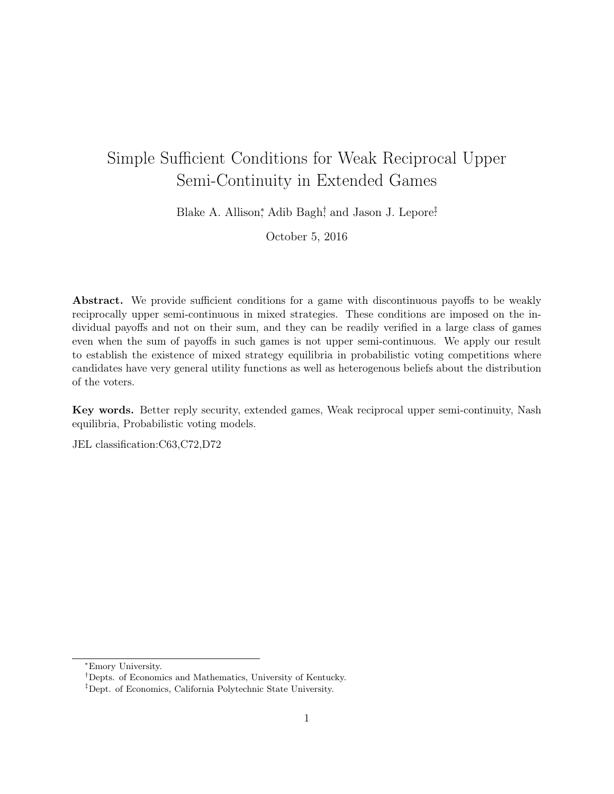# Simple Sufficient Conditions for Weak Reciprocal Upper Semi-Continuity in Extended Games

Blake A. Allison,<sup>\*</sup> Adib Bagh<sup>†</sup>, and Jason J. Lepore<sup><del>?</del></sup></sup>

October 5, 2016

Abstract. We provide sufficient conditions for a game with discontinuous payoffs to be weakly reciprocally upper semi-continuous in mixed strategies. These conditions are imposed on the individual payoffs and not on their sum, and they can be readily verified in a large class of games even when the sum of payoffs in such games is not upper semi-continuous. We apply our result to establish the existence of mixed strategy equilibria in probabilistic voting competitions where candidates have very general utility functions as well as heterogenous beliefs about the distribution of the voters.

Key words. Better reply security, extended games, Weak reciprocal upper semi-continuity, Nash equilibria, Probabilistic voting models.

JEL classification:C63,C72,D72

<sup>⇤</sup>Emory University.

*<sup>†</sup>*Depts. of Economics and Mathematics, University of Kentucky.

*<sup>‡</sup>*Dept. of Economics, California Polytechnic State University.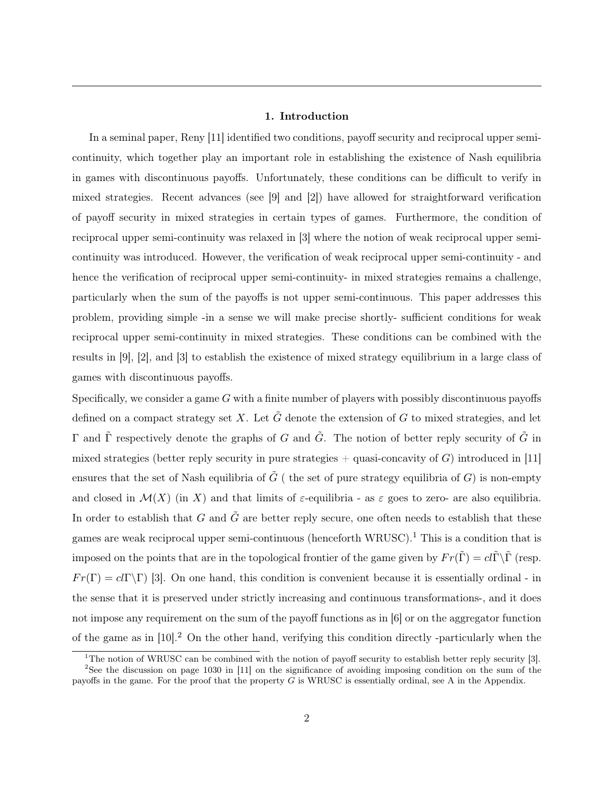#### 1. Introduction

In a seminal paper, Reny [11] identified two conditions, payoff security and reciprocal upper semicontinuity, which together play an important role in establishing the existence of Nash equilibria in games with discontinuous payoffs. Unfortunately, these conditions can be difficult to verify in mixed strategies. Recent advances (see [9] and [2]) have allowed for straightforward verification of payoff security in mixed strategies in certain types of games. Furthermore, the condition of reciprocal upper semi-continuity was relaxed in [3] where the notion of weak reciprocal upper semicontinuity was introduced. However, the verification of weak reciprocal upper semi-continuity - and hence the verification of reciprocal upper semi-continuity- in mixed strategies remains a challenge, particularly when the sum of the payoffs is not upper semi-continuous. This paper addresses this problem, providing simple -in a sense we will make precise shortly- sufficient conditions for weak reciprocal upper semi-continuity in mixed strategies. These conditions can be combined with the results in [9], [2], and [3] to establish the existence of mixed strategy equilibrium in a large class of games with discontinuous payoffs.

Specifically, we consider a game *G* with a finite number of players with possibly discontinuous payoffs defined on a compact strategy set X. Let  $\tilde{G}$  denote the extension of  $G$  to mixed strategies, and let  $\Gamma$  and  $\tilde{\Gamma}$  respectively denote the graphs of *G* and  $\tilde{G}$ . The notion of better reply security of  $\tilde{G}$  in mixed strategies (better reply security in pure strategies  $+$  quasi-concavity of *G*) introduced in [11] ensures that the set of Nash equilibria of  $\tilde{G}$  ( the set of pure strategy equilibria of *G*) is non-empty and closed in  $\mathcal{M}(X)$  (in X) and that limits of  $\varepsilon$ -equilibria - as  $\varepsilon$  goes to zero- are also equilibria. In order to establish that *G* and  $\tilde{G}$  are better reply secure, one often needs to establish that these games are weak reciprocal upper semi-continuous (henceforth WRUSC).<sup>1</sup> This is a condition that is imposed on the points that are in the topological frontier of the game given by  $Fr(\tilde{\Gamma}) = cl\tilde{\Gamma}\backslash\tilde{\Gamma}$  (resp.  $Fr(\Gamma) = cl(\Gamma \backslash \Gamma)$  [3]. On one hand, this condition is convenient because it is essentially ordinal - in the sense that it is preserved under strictly increasing and continuous transformations-, and it does not impose any requirement on the sum of the payoff functions as in [6] or on the aggregator function of the game as in [10].<sup>2</sup> On the other hand, verifying this condition directly -particularly when the

<sup>&</sup>lt;sup>1</sup>The notion of WRUSC can be combined with the notion of payoff security to establish better reply security [3].

<sup>2</sup>See the discussion on page 1030 in [11] on the significance of avoiding imposing condition on the sum of the payoffs in the game. For the proof that the property *G* is WRUSC is essentially ordinal, see A in the Appendix.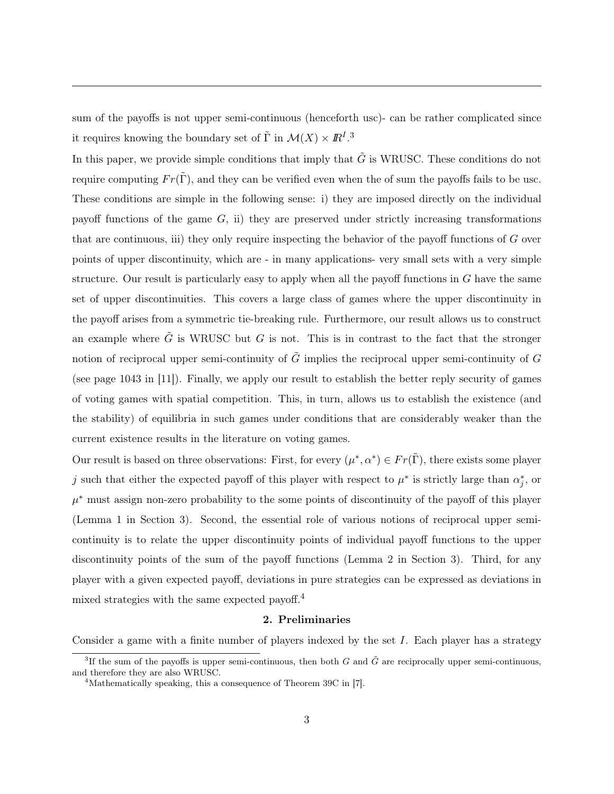sum of the payoffs is not upper semi-continuous (henceforth usc)- can be rather complicated since it requires knowing the boundary set of  $\tilde{\Gamma}$  in  $\mathcal{M}(X) \times \mathbb{R}^I$ .<sup>3</sup>

In this paper, we provide simple conditions that imply that  $\tilde{G}$  is WRUSC. These conditions do not require computing  $Fr(\tilde{\Gamma})$ , and they can be verified even when the of sum the payoffs fails to be usc. These conditions are simple in the following sense: i) they are imposed directly on the individual payoff functions of the game *G*, ii) they are preserved under strictly increasing transformations that are continuous, iii) they only require inspecting the behavior of the payoff functions of *G* over points of upper discontinuity, which are - in many applications- very small sets with a very simple structure. Our result is particularly easy to apply when all the payoff functions in *G* have the same set of upper discontinuities. This covers a large class of games where the upper discontinuity in the payoff arises from a symmetric tie-breaking rule. Furthermore, our result allows us to construct an example where  $\tilde{G}$  is WRUSC but *G* is not. This is in contrast to the fact that the stronger notion of reciprocal upper semi-continuity of  $\tilde{G}$  implies the reciprocal upper semi-continuity of  $G$ (see page 1043 in [11]). Finally, we apply our result to establish the better reply security of games of voting games with spatial competition. This, in turn, allows us to establish the existence (and the stability) of equilibria in such games under conditions that are considerably weaker than the current existence results in the literature on voting games.

Our result is based on three observations: First, for every  $(\mu^*, \alpha^*) \in Fr(\Gamma)$ , there exists some player *j* such that either the expected payoff of this player with respect to  $\mu^*$  is strictly large than  $\alpha_j^*$ , or  $\mu^*$  must assign non-zero probability to the some points of discontinuity of the payoff of this player (Lemma 1 in Section 3). Second, the essential role of various notions of reciprocal upper semicontinuity is to relate the upper discontinuity points of individual payoff functions to the upper discontinuity points of the sum of the payoff functions (Lemma 2 in Section 3). Third, for any player with a given expected payoff, deviations in pure strategies can be expressed as deviations in mixed strategies with the same expected payoff.<sup>4</sup>

#### 2. Preliminaries

Consider a game with a finite number of players indexed by the set *I*. Each player has a strategy

<sup>&</sup>lt;sup>3</sup>If the sum of the payoffs is upper semi-continuous, then both *G* and  $\tilde{G}$  are reciprocally upper semi-continuous, and therefore they are also WRUSC.

<sup>4</sup>Mathematically speaking, this a consequence of Theorem 39C in [7].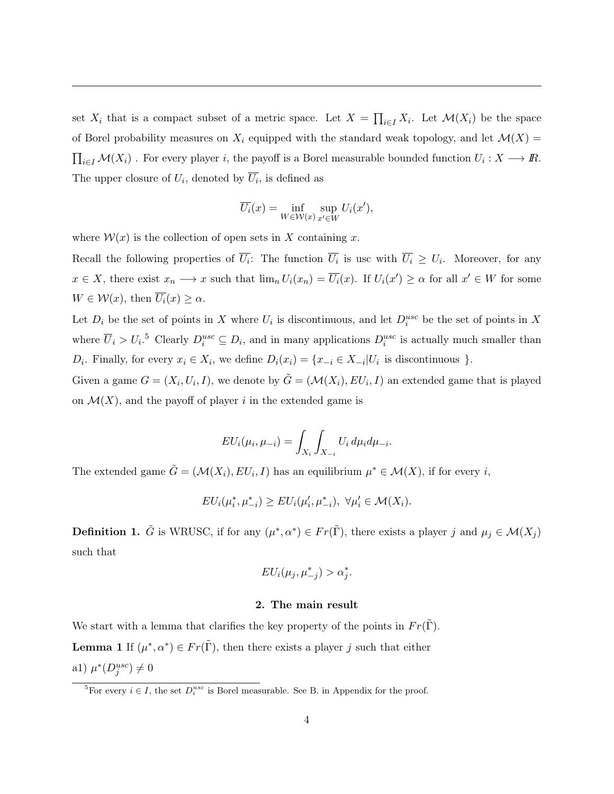set  $X_i$  that is a compact subset of a metric space. Let  $X = \prod_{i \in I} X_i$ . Let  $\mathcal{M}(X_i)$  be the space of Borel probability measures on  $X_i$  equipped with the standard weak topology, and let  $\mathcal{M}(X)$  =  $\prod_{i \in I} M(X_i)$  . For every player *i*, the payoff is a Borel measurable bounded function  $U_i : X \longrightarrow \mathbb{R}$ . The upper closure of  $U_i$ , denoted by  $\overline{U_i}$ , is defined as

$$
\overline{U_i}(x) = \inf_{W \in \mathcal{W}(x)} \sup_{x' \in W} U_i(x'),
$$

where  $W(x)$  is the collection of open sets in X containing x.

Recall the following properties of  $\overline{U_i}$ : The function  $\overline{U_i}$  is usc with  $\overline{U_i} \geq U_i$ . Moreover, for any  $x \in X$ , there exist  $x_n \longrightarrow x$  such that  $\lim_n U_i(x_n) = U_i(x)$ . If  $U_i(x') \ge \alpha$  for all  $x' \in W$  for some  $W \in \mathcal{W}(x)$ , then  $\overline{U_i}(x) \geq \alpha$ .

Let  $D_i$  be the set of points in *X* where  $U_i$  is discontinuous, and let  $D_i^{usc}$  be the set of points in *X* where  $\overline{U}_i > U_i$ .<sup>5</sup> Clearly  $D_i^{usc} \subseteq D_i$ , and in many applications  $D_i^{usc}$  is actually much smaller than *D*<sup>*i*</sup>. Finally, for every  $x_i \in X_i$ , we define  $D_i(x_i) = \{x_{-i} \in X_{-i} | U_i \text{ is discontinuous }\}.$ 

Given a game  $G = (X_i, U_i, I)$ , we denote by  $\tilde{G} = (\mathcal{M}(X_i), EU_i, I)$  an extended game that is played on  $\mathcal{M}(X)$ , and the payoff of player *i* in the extended game is

$$
EU_i(\mu_i, \mu_{-i}) = \int_{X_i} \int_{X_{-i}} U_i d\mu_i d\mu_{-i}.
$$

The extended game  $\tilde{G} = (\mathcal{M}(X_i), EU_i, I)$  has an equilibrium  $\mu^* \in \mathcal{M}(X)$ , if for every *i*,

$$
EU_i(\mu_i^*, \mu_{-i}^*) \ge EU_i(\mu_i', \mu_{-i}^*), \ \forall \mu_i' \in \mathcal{M}(X_i).
$$

**Definition 1.**  $\tilde{G}$  is WRUSC, if for any  $(\mu^*, \alpha^*) \in Fr(\tilde{\Gamma})$ , there exists a player *j* and  $\mu_j \in \mathcal{M}(X_j)$ such that

$$
EU_i(\mu_j, \mu^*_{-j}) > \alpha_j^*.
$$

#### 2. The main result

We start with a lemma that clarifies the key property of the points in  $Fr(\Gamma)$ . **Lemma 1** If  $(\mu^*, \alpha^*) \in Fr(\tilde{\Gamma})$ , then there exists a player *j* such that either a1)  $\mu^*(D_j^{usc}) \neq 0$ 

<sup>&</sup>lt;sup>5</sup>For every  $i \in I$ , the set  $D_i^{usc}$  is Borel measurable. See B. in Appendix for the proof.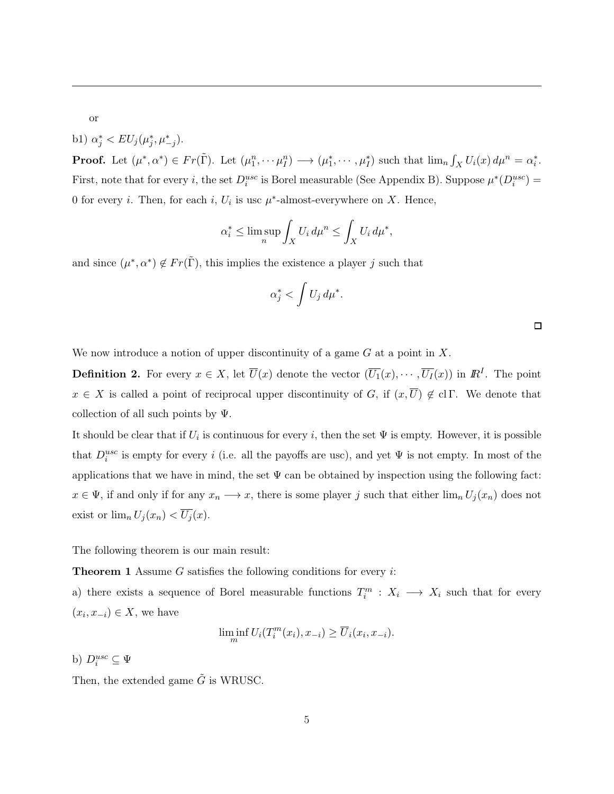or

b1)  $\alpha_j^* < EU_j(\mu_j^*, \mu_{-j}^*).$ 

**Proof.** Let  $(\mu^*, \alpha^*) \in Fr(\tilde{\Gamma})$ . Let  $(\mu_1^n, \dots \mu_I^n) \longrightarrow (\mu_1^*, \dots, \mu_I^*)$  such that  $\lim_n \int_X U_i(x) d\mu^n = \alpha_i^*$ . First, note that for every *i*, the set  $D_i^{usc}$  is Borel measurable (See Appendix B). Suppose  $\mu^*(D_i^{usc})$  = 0 for every *i*. Then, for each *i*,  $U_i$  is usc  $\mu^*$ -almost-everywhere on *X*. Hence,

$$
\alpha_i^* \le \limsup_n \int_X U_i \, d\mu^n \le \int_X U_i \, d\mu^*,
$$

and since  $(\mu^*, \alpha^*) \notin Fr(\tilde{\Gamma})$ , this implies the existence a player *j* such that

$$
\alpha_j^* < \int U_j \, d\mu^*.
$$

 $\Box$ 

We now introduce a notion of upper discontinuity of a game *G* at a point in *X*.

**Definition 2.** For every  $x \in X$ , let  $\overline{U}(x)$  denote the vector  $(\overline{U_1}(x), \cdots, \overline{U_I}(x))$  in  $\mathbb{R}^I$ . The point  $x \in X$  is called a point of reciprocal upper discontinuity of *G*, if  $(x,\overline{U}) \notin \text{cl } \Gamma$ . We denote that collection of all such points by  $\Psi$ .

It should be clear that if  $U_i$  is continuous for every *i*, then the set  $\Psi$  is empty. However, it is possible that  $D_i^{usc}$  is empty for every *i* (i.e. all the payoffs are usc), and yet  $\Psi$  is not empty. In most of the applications that we have in mind, the set  $\Psi$  can be obtained by inspection using the following fact:  $x \in \Psi$ , if and only if for any  $x_n \longrightarrow x$ , there is some player *j* such that either  $\lim_n U_j(x_n)$  does not exist or  $\lim_{n} U_j(x_n) < \overline{U_j}(x)$ .

The following theorem is our main result:

Theorem 1 Assume *G* satisfies the following conditions for every *i*:

a) there exists a sequence of Borel measurable functions  $T_i^m$  :  $X_i \longrightarrow X_i$  such that for every  $(x_i, x_{-i}) \in X$ , we have

$$
\liminf_{m} U_i(T_i^m(x_i), x_{-i}) \ge \overline{U}_i(x_i, x_{-i}).
$$

b)  $D_i^{usc} \subseteq \Psi$ 

Then, the extended game  $\tilde{G}$  is WRUSC.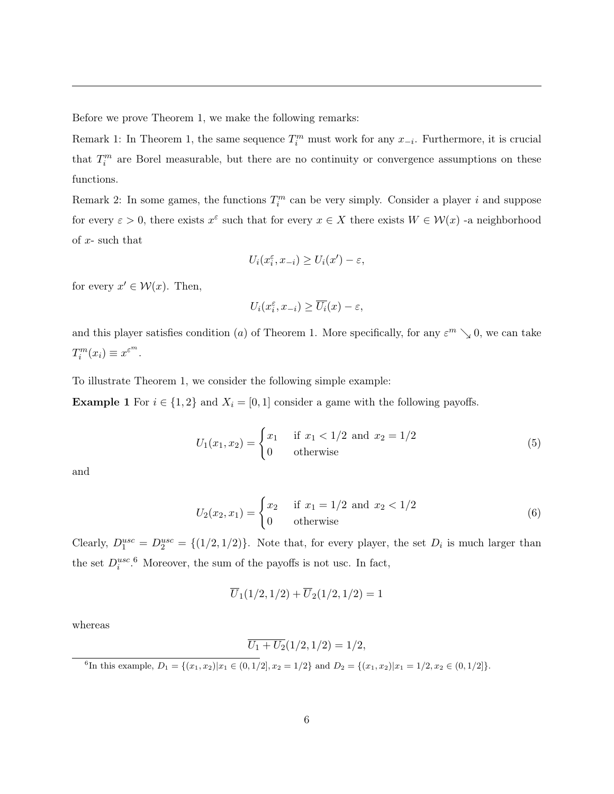Before we prove Theorem 1, we make the following remarks:

Remark 1: In Theorem 1, the same sequence  $T_i^m$  must work for any  $x_{-i}$ . Furthermore, it is crucial that  $T_i^m$  are Borel measurable, but there are no continuity or convergence assumptions on these functions.

Remark 2: In some games, the functions  $T_i^m$  can be very simply. Consider a player *i* and suppose for every  $\varepsilon > 0$ , there exists  $x^{\varepsilon}$  such that for every  $x \in X$  there exists  $W \in \mathcal{W}(x)$  -a neighborhood of *x*- such that

$$
U_i(x_i^{\varepsilon}, x_{-i}) \ge U_i(x') - \varepsilon,
$$

for every  $x' \in \mathcal{W}(x)$ . Then,

$$
U_i(x_i^{\varepsilon}, x_{-i}) \ge \overline{U_i}(x) - \varepsilon,
$$

and this player satisfies condition (*a*) of Theorem 1. More specifically, for any  $\varepsilon^{m} \searrow 0$ , we can take  $T_i^m(x_i) \equiv x^{\varepsilon^m}$ .

To illustrate Theorem 1, we consider the following simple example:

**Example 1** For  $i \in \{1,2\}$  and  $X_i = [0,1]$  consider a game with the following payoffs.

$$
U_1(x_1, x_2) = \begin{cases} x_1 & \text{if } x_1 < 1/2 \text{ and } x_2 = 1/2\\ 0 & \text{otherwise} \end{cases}
$$
 (5)

and

$$
U_2(x_2, x_1) = \begin{cases} x_2 & \text{if } x_1 = 1/2 \text{ and } x_2 < 1/2\\ 0 & \text{otherwise} \end{cases}
$$
 (6)

Clearly,  $D_1^{usc} = D_2^{usc} = \{(1/2, 1/2)\}\.$  Note that, for every player, the set  $D_i$  is much larger than the set  $D_i^{usc}$ .<sup>6</sup> Moreover, the sum of the payoffs is not usc. In fact,

$$
\overline{U}_1(1/2,1/2) + \overline{U}_2(1/2,1/2) = 1
$$

whereas

$$
\overline{U_1 + U_2}(1/2, 1/2) = 1/2,
$$

<sup>6</sup>In this example,  $D_1 = \{(x_1, x_2) | x_1 \in (0, 1/2], x_2 = 1/2\}$  and  $D_2 = \{(x_1, x_2) | x_1 = 1/2, x_2 \in (0, 1/2]\}.$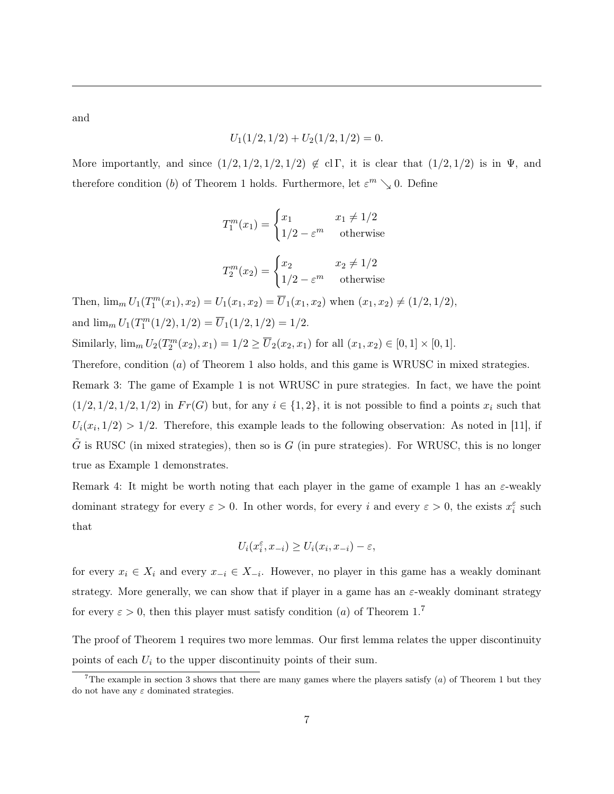and

$$
U_1(1/2, 1/2) + U_2(1/2, 1/2) = 0.
$$

More importantly, and since  $(1/2, 1/2, 1/2, 1/2) \notin \text{cl } \Gamma$ , it is clear that  $(1/2, 1/2)$  is in  $\Psi$ , and therefore condition (*b*) of Theorem 1 holds. Furthermore, let  $\varepsilon^{m} \searrow 0$ . Define

$$
T_1^m(x_1) = \begin{cases} x_1 & x_1 \neq 1/2\\ 1/2 - \varepsilon^m & \text{otherwise} \end{cases}
$$

$$
T_2^m(x_2) = \begin{cases} x_2 & x_2 \neq 1/2\\ 1/2 - \varepsilon^m & \text{otherwise} \end{cases}
$$

Then,  $\lim_{m} U_1(T_1^m(x_1), x_2) = U_1(x_1, x_2) = \overline{U}_1(x_1, x_2)$  when  $(x_1, x_2) \neq (1/2, 1/2)$ , and  $\lim_{m} U_1(T_1^m(1/2), 1/2) = \overline{U}_1(1/2, 1/2) = 1/2.$ Similarly,  $\lim_{m} U_2(T_2^m(x_2), x_1) = 1/2 \ge \overline{U}_2(x_2, x_1)$  for all  $(x_1, x_2) \in [0, 1] \times [0, 1]$ .

Therefore, condition (*a*) of Theorem 1 also holds, and this game is WRUSC in mixed strategies.

Remark 3: The game of Example 1 is not WRUSC in pure strategies. In fact, we have the point  $(1/2, 1/2, 1/2, 1/2)$  in  $Fr(G)$  but, for any  $i \in \{1, 2\}$ , it is not possible to find a points  $x_i$  such that  $U_i(x_i, 1/2) > 1/2$ . Therefore, this example leads to the following observation: As noted in [11], if  $\tilde{G}$  is RUSC (in mixed strategies), then so is  $G$  (in pure strategies). For WRUSC, this is no longer true as Example 1 demonstrates.

Remark 4: It might be worth noting that each player in the game of example 1 has an  $\varepsilon$ -weakly dominant strategy for every  $\varepsilon > 0$ . In other words, for every *i* and every  $\varepsilon > 0$ , the exists  $x_i^{\varepsilon}$  such that

$$
U_i(x_i^{\varepsilon}, x_{-i}) \ge U_i(x_i, x_{-i}) - \varepsilon,
$$

for every  $x_i \in X_i$  and every  $x_{-i} \in X_{-i}$ . However, no player in this game has a weakly dominant strategy. More generally, we can show that if player in a game has an  $\varepsilon$ -weakly dominant strategy for every  $\varepsilon > 0$ , then this player must satisfy condition (*a*) of Theorem 1.<sup>7</sup>

The proof of Theorem 1 requires two more lemmas. Our first lemma relates the upper discontinuity points of each *U<sup>i</sup>* to the upper discontinuity points of their sum.

<sup>&</sup>lt;sup>7</sup>The example in section 3 shows that there are many games where the players satisfy  $(a)$  of Theorem 1 but they do not have any  $\varepsilon$  dominated strategies.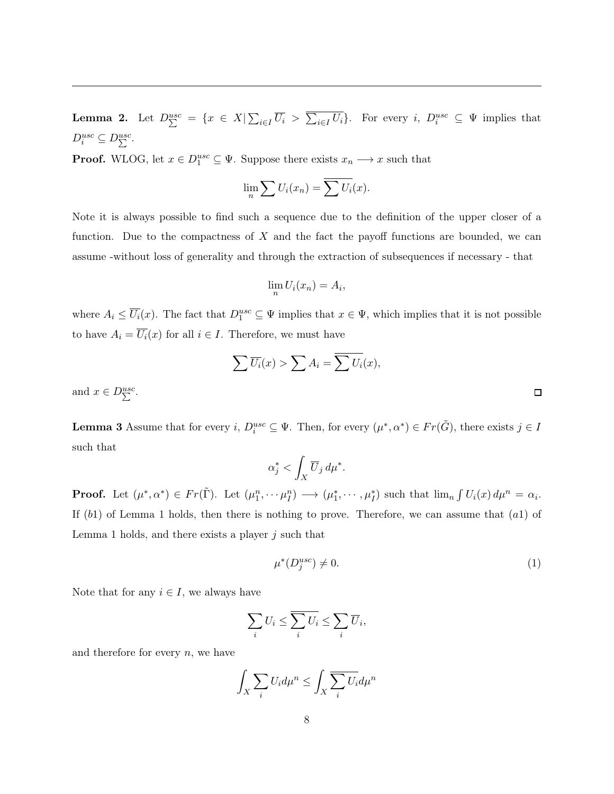**Lemma 2.** Let  $D_{\sum}^{usc} = \{x \in X | \sum_{i \in I} \overline{U_i} > \overline{\sum_{i \in I} U_i} \}$ . For every i,  $D_i^{usc} \subseteq \Psi$  implies that  $D_i^{usc} \subseteq D_{\sum}^{usc}$ .

**Proof.** WLOG, let  $x \in D_1^{usc} \subseteq \Psi$ . Suppose there exists  $x_n \longrightarrow x$  such that

$$
\lim_{n} \sum U_i(x_n) = \overline{\sum U_i}(x).
$$

Note it is always possible to find such a sequence due to the definition of the upper closer of a function. Due to the compactness of *X* and the fact the payoff functions are bounded, we can assume -without loss of generality and through the extraction of subsequences if necessary - that

$$
\lim_n U_i(x_n) = A_i,
$$

where  $A_i \leq \overline{U_i}(x)$ . The fact that  $D_1^{usc} \subseteq \Psi$  implies that  $x \in \Psi$ , which implies that it is not possible to have  $A_i = \overline{U_i}(x)$  for all  $i \in I$ . Therefore, we must have

$$
\sum \overline{U_i}(x) > \sum A_i = \overline{\sum U_i}(x),
$$

and  $x \in D_{\sum}^{usc}$ .

**Lemma 3** Assume that for every *i*,  $D_i^{usc} \subseteq \Psi$ . Then, for every  $(\mu^*, \alpha^*) \in Fr(\tilde{G})$ , there exists  $j \in I$ such that

$$
\alpha_j^* < \int_X \overline{U}_j \, d\mu^*.
$$

**Proof.** Let  $(\mu^*, \alpha^*) \in Fr(\tilde{\Gamma})$ . Let  $(\mu_1^n, \dots \mu_I^n) \longrightarrow (\mu_1^*, \dots, \mu_I^*)$  such that  $\lim_n \int U_i(x) d\mu^n = \alpha_i$ . If (*b*1) of Lemma 1 holds, then there is nothing to prove. Therefore, we can assume that (*a*1) of Lemma 1 holds, and there exists a player *j* such that

$$
\mu^*(D_j^{usc}) \neq 0. \tag{1}
$$

Note that for any  $i \in I$ , we always have

$$
\sum_i U_i \le \overline{\sum_i U_i} \le \sum_i \overline{U}_i,
$$

and therefore for every *n*, we have

$$
\int_X \sum_i U_i d\mu^n \le \int_X \sum_i U_i d\mu^n
$$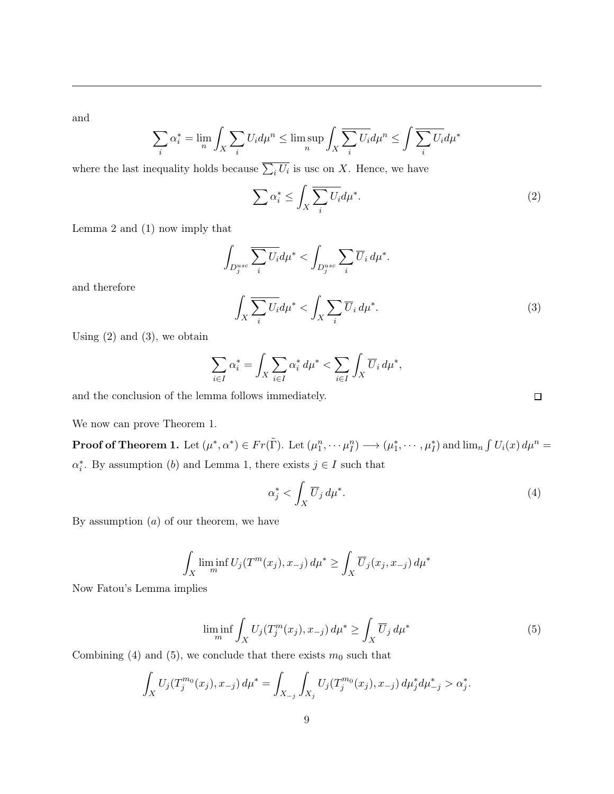and

$$
\sum_{i} \alpha_i^* = \lim_{n} \int_X \sum_{i} U_i d\mu^n \le \limsup_{n} \int_X \sum_{i} U_i d\mu^n \le \int \overline{\sum_{i} U_i} d\mu^*
$$

where the last inequality holds because  $\sum_i U_i$  is usc on *X*. Hence, we have

$$
\sum \alpha_i^* \le \int_X \overline{\sum_i U_i} d\mu^*.
$$
 (2)

Lemma 2 and (1) now imply that

$$
\int_{D_j^{usc}} \overline{\sum_i U_i} d\mu^* < \int_{D_j^{usc}} \sum_i \overline{U}_i \, d\mu^*.
$$

and therefore

$$
\int_{X} \sum_{i} \overline{U_{i}} d\mu^{*} < \int_{X} \sum_{i} \overline{U_{i}} d\mu^{*}.\tag{3}
$$

Using  $(2)$  and  $(3)$ , we obtain

$$
\sum_{i\in I}\alpha_i^* = \int_X \sum_{i\in I}\alpha_i^*\,d\mu^* < \sum_{i\in I}\int_X \overline{U}_i\,d\mu^*,
$$

and the conclusion of the lemma follows immediately.

We now can prove Theorem 1.

**Proof of Theorem 1.** Let  $(\mu^*, \alpha^*) \in Fr(\tilde{\Gamma})$ . Let  $(\mu_1^n, \dots \mu_I^n) \longrightarrow (\mu_1^*, \dots, \mu_I^*)$  and  $\lim_n \int U_i(x) d\mu^n =$  $\alpha_i^*$ . By assumption (*b*) and Lemma 1, there exists  $j \in I$  such that

$$
\alpha_j^* < \int_X \overline{U}_j \, d\mu^* \tag{4}
$$

By assumption (*a*) of our theorem, we have

$$
\int_X \liminf_m U_j(T^m(x_j), x_{-j}) d\mu^* \ge \int_X \overline{U}_j(x_j, x_{-j}) d\mu^*
$$

Now Fatou's Lemma implies

$$
\liminf_{m} \int_{X} U_j(T_j^m(x_j), x_{-j}) d\mu^* \ge \int_{X} \overline{U}_j d\mu^* \tag{5}
$$

Combining (4) and (5), we conclude that there exists  $m_0$  such that

$$
\int_X U_j(T_j^{m_0}(x_j), x_{-j}) d\mu^* = \int_{X_{-j}} \int_{X_j} U_j(T_j^{m_0}(x_j), x_{-j}) d\mu_j^* d\mu^*_{-j} > \alpha_j^*.
$$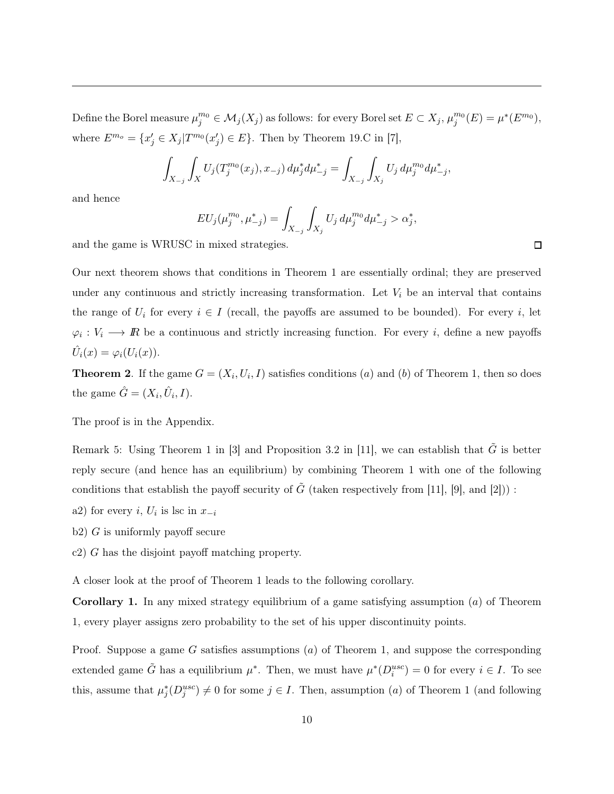Define the Borel measure  $\mu_j^{m_0} \in \mathcal{M}_j(X_j)$  as follows: for every Borel set  $E \subset X_j$ ,  $\mu_j^{m_0}(E) = \mu^*(E^{m_0})$ , where  $E^{m_o} = \{x'_j \in X_j | T^{m_0}(x'_j) \in E\}$ . Then by Theorem 19.C in [7],

$$
\int_{X_{-j}} \int_X U_j(T_j^{m_0}(x_j), x_{-j}) d\mu_j^* d\mu_{-j}^* = \int_{X_{-j}} \int_{X_j} U_j d\mu_j^{m_0} d\mu_{-j}^*,
$$

and hence

$$
EU_j(\mu_j^{m_0}, \mu_{-j}^*) = \int_{X_{-j}} \int_{X_j} U_j \, d\mu_j^{m_0} d\mu_{-j}^* > \alpha_j^*,
$$

and the game is WRUSC in mixed strategies.

Our next theorem shows that conditions in Theorem 1 are essentially ordinal; they are preserved under any continuous and strictly increasing transformation. Let  $V_i$  be an interval that contains the range of  $U_i$  for every  $i \in I$  (recall, the payoffs are assumed to be bounded). For every *i*, let  $\varphi_i: V_i \longrightarrow \mathbb{R}$  be a continuous and strictly increasing function. For every *i*, define a new payoffs  $\ddot{U}_i(x) = \varphi_i(U_i(x)).$ 

**Theorem 2.** If the game  $G = (X_i, U_i, I)$  satisfies conditions (*a*) and (*b*) of Theorem 1, then so does the game  $\hat{G} = (X_i, \hat{U}_i, I)$ .

The proof is in the Appendix.

Remark 5: Using Theorem 1 in [3] and Proposition 3.2 in [11], we can establish that  $\tilde{G}$  is better reply secure (and hence has an equilibrium) by combining Theorem 1 with one of the following conditions that establish the payoff security of  $\tilde{G}$  (taken respectively from [11], [9], and [2])) :

- a2) for every *i*,  $U_i$  is lsc in  $x_{-i}$
- b2) *G* is uniformly payoff secure
- c2) *G* has the disjoint payoff matching property.

A closer look at the proof of Theorem 1 leads to the following corollary.

Corollary 1. In any mixed strategy equilibrium of a game satisfying assumption (*a*) of Theorem 1, every player assigns zero probability to the set of his upper discontinuity points.

Proof. Suppose a game *G* satisfies assumptions (*a*) of Theorem 1, and suppose the corresponding extended game  $\tilde{G}$  has a equilibrium  $\mu^*$ . Then, we must have  $\mu^*(D_i^{usc}) = 0$  for every  $i \in I$ . To see this, assume that  $\mu_j^*(D_j^{usc}) \neq 0$  for some  $j \in I$ . Then, assumption (*a*) of Theorem 1 (and following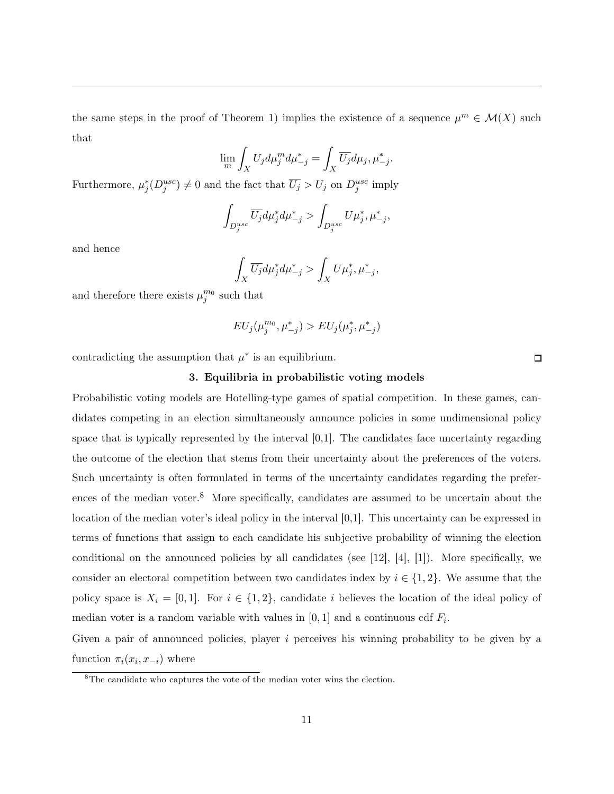the same steps in the proof of Theorem 1) implies the existence of a sequence  $\mu^m \in \mathcal{M}(X)$  such that

$$
\lim_{m} \int_{X} U_j d\mu_j^m d\mu_{-j}^* = \int_{X} \overline{U_j} d\mu_j, \mu_{-j}^*.
$$

Furthermore,  $\mu_j^*(D_j^{usc}) \neq 0$  and the fact that  $\overline{U_j} > U_j$  on  $D_j^{usc}$  imply

$$
\int_{D_j^{usc}} \overline{U_j} d\mu_j^* d\mu_{-j}^* > \int_{D_j^{usc}} U \mu_j^*, \mu_{-j}^*,
$$

and hence

$$
\int_X \overline{U_j} d\mu_j^* d\mu_{-j}^* > \int_X U \mu_j^*, \mu_{-j}^*,
$$

and therefore there exists  $\mu_j^{m_0}$  such that

$$
EU_j(\mu_j^{m_0},\mu_{-j}^*) > EU_j(\mu_j^*,\mu_{-j}^*)
$$

contradicting the assumption that  $\mu^*$  is an equilibrium.

#### 3. Equilibria in probabilistic voting models

Probabilistic voting models are Hotelling-type games of spatial competition. In these games, candidates competing in an election simultaneously announce policies in some undimensional policy space that is typically represented by the interval [0,1]. The candidates face uncertainty regarding the outcome of the election that stems from their uncertainty about the preferences of the voters. Such uncertainty is often formulated in terms of the uncertainty candidates regarding the preferences of the median voter.<sup>8</sup> More specifically, candidates are assumed to be uncertain about the location of the median voter's ideal policy in the interval [0,1]. This uncertainty can be expressed in terms of functions that assign to each candidate his subjective probability of winning the election conditional on the announced policies by all candidates (see [12], [4], [1]). More specifically, we consider an electoral competition between two candidates index by  $i \in \{1, 2\}$ . We assume that the policy space is  $X_i = [0, 1]$ . For  $i \in \{1, 2\}$ , candidate *i* believes the location of the ideal policy of median voter is a random variable with values in  $[0, 1]$  and a continuous cdf  $F_i$ .

Given a pair of announced policies, player *i* perceives his winning probability to be given by a function  $\pi_i(x_i, x_{-i})$  where

<sup>&</sup>lt;sup>8</sup>The candidate who captures the vote of the median voter wins the election.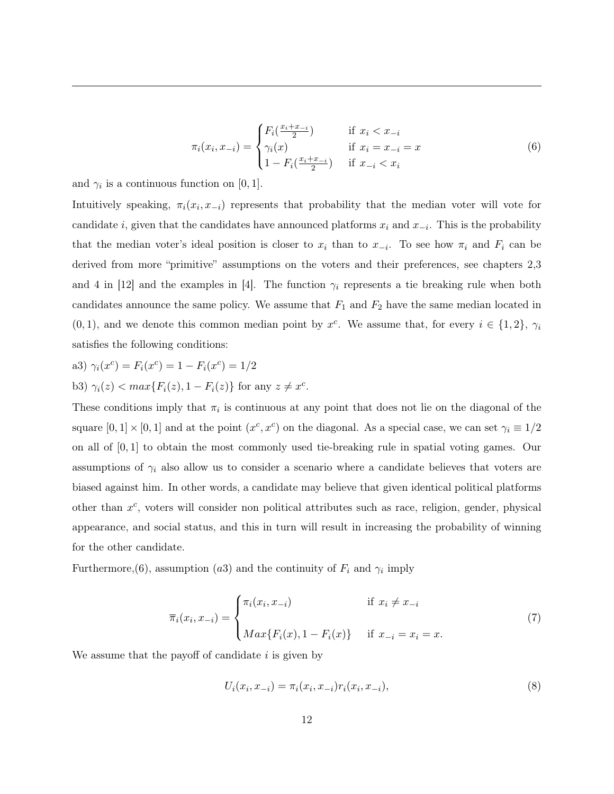$$
\pi_i(x_i, x_{-i}) = \begin{cases}\nF_i(\frac{x_i + x_{-i}}{2}) & \text{if } x_i < x_{-i} \\
\gamma_i(x) & \text{if } x_i = x_{-i} = x \\
1 - F_i(\frac{x_i + x_{-i}}{2}) & \text{if } x_{-i} < x_i\n\end{cases} \tag{6}
$$

and  $\gamma_i$  is a continuous function on  $[0, 1]$ .

Intuitively speaking,  $\pi_i(x_i, x_{-i})$  represents that probability that the median voter will vote for candidate *i*, given that the candidates have announced platforms  $x_i$  and  $x_{-i}$ . This is the probability that the median voter's ideal position is closer to  $x_i$  than to  $x_{-i}$ . To see how  $\pi_i$  and  $F_i$  can be derived from more "primitive" assumptions on the voters and their preferences, see chapters 2,3 and 4 in  $|12|$  and the examples in  $|4|$ . The function  $\gamma_i$  represents a tie breaking rule when both candidates announce the same policy. We assume that  $F_1$  and  $F_2$  have the same median located in  $(0,1)$ , and we denote this common median point by  $x^c$ . We assume that, for every  $i \in \{1,2\}$ ,  $\gamma_i$ satisfies the following conditions:

a3) 
$$
\gamma_i(x^c) = F_i(x^c) = 1 - F_i(x^c) = 1/2
$$

b3)  $\gamma_i(z) < max\{F_i(z), 1 - F_i(z)\}$  for any  $z \neq x^c$ .

These conditions imply that  $\pi_i$  is continuous at any point that does not lie on the diagonal of the square  $[0, 1] \times [0, 1]$  and at the point  $(x^c, x^c)$  on the diagonal. As a special case, we can set  $\gamma_i \equiv 1/2$ on all of [0*,* 1] to obtain the most commonly used tie-breaking rule in spatial voting games. Our assumptions of  $\gamma_i$  also allow us to consider a scenario where a candidate believes that voters are biased against him. In other words, a candidate may believe that given identical political platforms other than *xc*, voters will consider non political attributes such as race, religion, gender, physical appearance, and social status, and this in turn will result in increasing the probability of winning for the other candidate.

Furthermore,  $(6)$ , assumption  $(a3)$  and the continuity of  $F_i$  and  $\gamma_i$  imply

$$
\overline{\pi}_i(x_i, x_{-i}) = \begin{cases} \pi_i(x_i, x_{-i}) & \text{if } x_i \neq x_{-i} \\ \max\{F_i(x), 1 - F_i(x)\} & \text{if } x_{-i} = x_i = x. \end{cases}
$$
(7)

We assume that the payoff of candidate *i* is given by

$$
U_i(x_i, x_{-i}) = \pi_i(x_i, x_{-i}) r_i(x_i, x_{-i}),
$$
\n(8)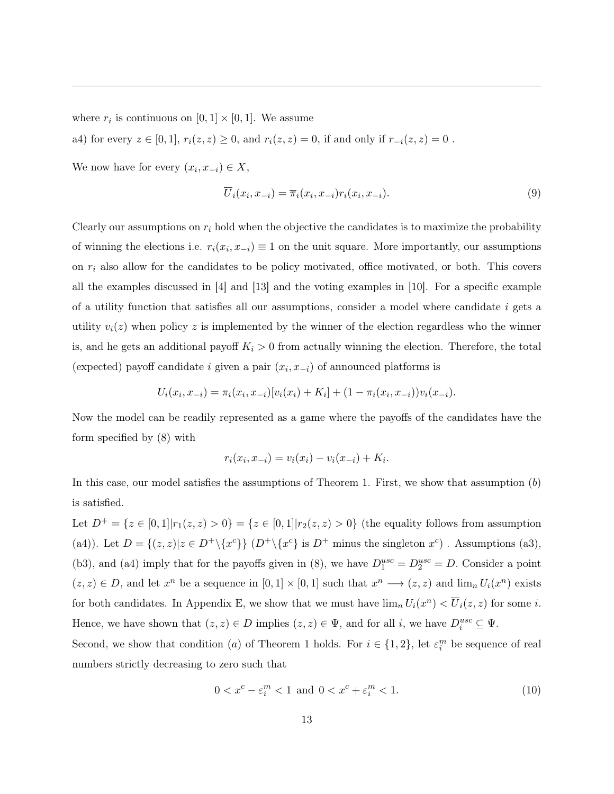where  $r_i$  is continuous on  $[0, 1] \times [0, 1]$ . We assume

a4) for every  $z \in [0, 1]$ ,  $r_i(z, z) \ge 0$ , and  $r_i(z, z) = 0$ , if and only if  $r_{-i}(z, z) = 0$ .

We now have for every  $(x_i, x_{-i}) \in X$ ,

$$
\overline{U}_i(x_i, x_{-i}) = \overline{\pi}_i(x_i, x_{-i}) r_i(x_i, x_{-i}). \tag{9}
$$

Clearly our assumptions on *r<sup>i</sup>* hold when the objective the candidates is to maximize the probability of winning the elections i.e.  $r_i(x_i, x_{-i}) \equiv 1$  on the unit square. More importantly, our assumptions on *r<sup>i</sup>* also allow for the candidates to be policy motivated, office motivated, or both. This covers all the examples discussed in [4] and [13] and the voting examples in [10]. For a specific example of a utility function that satisfies all our assumptions, consider a model where candidate *i* gets a utility  $v_i(z)$  when policy z is implemented by the winner of the election regardless who the winner is, and he gets an additional payoff  $K_i > 0$  from actually winning the election. Therefore, the total (expected) payoff candidate *i* given a pair  $(x_i, x_{-i})$  of announced platforms is

$$
U_i(x_i, x_{-i}) = \pi_i(x_i, x_{-i})[v_i(x_i) + K_i] + (1 - \pi_i(x_i, x_{-i}))v_i(x_{-i}).
$$

Now the model can be readily represented as a game where the payoffs of the candidates have the form specified by (8) with

$$
r_i(x_i, x_{-i}) = v_i(x_i) - v_i(x_{-i}) + K_i.
$$

In this case, our model satisfies the assumptions of Theorem 1. First, we show that assumption (*b*) is satisfied.

Let  $D^+ = \{z \in [0,1] | r_1(z,z) > 0\} = \{z \in [0,1] | r_2(z,z) > 0\}$  (the equality follows from assumption (a4)). Let  $D = \{(z, z) | z \in D^+\setminus \{x^c\}\}\ (D^+\setminus \{x^c\}$  is  $D^+$  minus the singleton  $x^c$ ). Assumptions (a3), (b3), and (a4) imply that for the payoffs given in (8), we have  $D_1^{usc} = D_2^{usc} = D$ . Consider a point  $(z, z) \in D$ , and let  $x^n$  be a sequence in  $[0, 1] \times [0, 1]$  such that  $x^n \longrightarrow (z, z)$  and  $\lim_n U_i(x^n)$  exists for both candidates. In Appendix E, we show that we must have  $\lim_n U_i(x^n) < \overline{U}_i(z, z)$  for some *i*. Hence, we have shown that  $(z, z) \in D$  implies  $(z, z) \in \Psi$ , and for all *i*, we have  $D_i^{usc} \subseteq \Psi$ .

Second, we show that condition (*a*) of Theorem 1 holds. For  $i \in \{1, 2\}$ , let  $\varepsilon_i^m$  be sequence of real numbers strictly decreasing to zero such that

$$
0 < x^c - \varepsilon_i^m < 1 \text{ and } 0 < x^c + \varepsilon_i^m < 1. \tag{10}
$$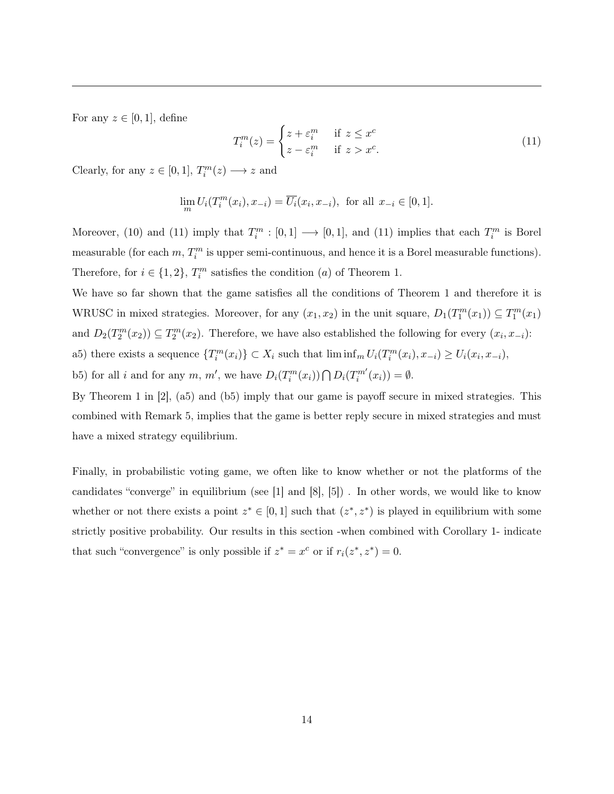For any  $z \in [0, 1]$ , define

$$
T_i^m(z) = \begin{cases} z + \varepsilon_i^m & \text{if } z \le x^c \\ z - \varepsilon_i^m & \text{if } z > x^c. \end{cases}
$$
 (11)

Clearly, for any  $z \in [0, 1]$ ,  $T_i^m(z) \longrightarrow z$  and

$$
\lim_{m} U_i(T_i^m(x_i), x_{-i}) = \overline{U_i}(x_i, x_{-i}), \text{ for all } x_{-i} \in [0, 1].
$$

Moreover, (10) and (11) imply that  $T_i^m : [0,1] \longrightarrow [0,1]$ , and (11) implies that each  $T_i^m$  is Borel measurable (for each  $m$ ,  $T_i^m$  is upper semi-continuous, and hence it is a Borel measurable functions). Therefore, for  $i \in \{1, 2\}$ ,  $T_i^m$  satisfies the condition  $(a)$  of Theorem 1.

We have so far shown that the game satisfies all the conditions of Theorem 1 and therefore it is WRUSC in mixed strategies. Moreover, for any  $(x_1, x_2)$  in the unit square,  $D_1(T_1^m(x_1)) \subseteq T_1^m(x_1)$ and  $D_2(T_2^m(x_2)) \subseteq T_2^m(x_2)$ . Therefore, we have also established the following for every  $(x_i, x_{-i})$ : a5) there exists a sequence  $\{T_i^m(x_i)\}\subset X_i$  such that  $\liminf_m U_i(T_i^m(x_i), x_{-i})\geq U_i(x_i, x_{-i}),$ 

b5) for all *i* and for any *m*, *m'*, we have  $D_i(T_i^m(x_i)) \bigcap D_i(T_i^{m'}(x_i)) = \emptyset$ .

By Theorem 1 in [2], (a5) and (b5) imply that our game is payoff secure in mixed strategies. This combined with Remark 5, implies that the game is better reply secure in mixed strategies and must have a mixed strategy equilibrium.

Finally, in probabilistic voting game, we often like to know whether or not the platforms of the candidates "converge" in equilibrium (see [1] and [8], [5]) . In other words, we would like to know whether or not there exists a point  $z^* \in [0,1]$  such that  $(z^*, z^*)$  is played in equilibrium with some strictly positive probability. Our results in this section -when combined with Corollary 1- indicate that such "convergence" is only possible if  $z^* = x^c$  or if  $r_i(z^*, z^*) = 0$ .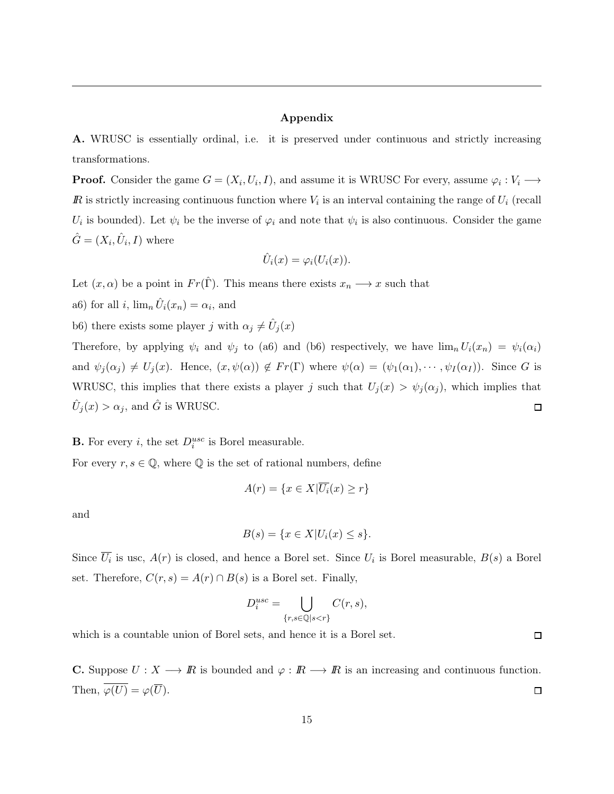### Appendix

A. WRUSC is essentially ordinal, i.e. it is preserved under continuous and strictly increasing transformations.

**Proof.** Consider the game  $G = (X_i, U_i, I)$ , and assume it is WRUSC For every, assume  $\varphi_i : V_i \longrightarrow$  $\mathbb{R}$  is strictly increasing continuous function where  $V_i$  is an interval containing the range of  $U_i$  (recall  $U_i$  is bounded). Let  $\psi_i$  be the inverse of  $\varphi_i$  and note that  $\psi_i$  is also continuous. Consider the game  $\hat{G} = (X_i, \hat{U}_i, I)$  where

$$
\hat{U}_i(x) = \varphi_i(U_i(x)).
$$

Let  $(x, \alpha)$  be a point in  $Fr(\hat{\Gamma})$ . This means there exists  $x_n \longrightarrow x$  such that

- a6) for all *i*,  $\lim_{n} \hat{U}_i(x_n) = \alpha_i$ , and
- b6) there exists some player *j* with  $\alpha_j \neq \hat{U}_j(x)$

Therefore, by applying  $\psi_i$  and  $\psi_j$  to (a6) and (b6) respectively, we have  $\lim_n U_i(x_n) = \psi_i(\alpha_i)$ and  $\psi_j(\alpha_j) \neq U_j(x)$ . Hence,  $(x, \psi(\alpha)) \notin Fr(\Gamma)$  where  $\psi(\alpha) = (\psi_1(\alpha_1), \dots, \psi_I(\alpha_I))$ . Since *G* is WRUSC, this implies that there exists a player *j* such that  $U_j(x) > \psi_j(\alpha_j)$ , which implies that  $\hat{U}_j(x) > \alpha_j$ , and  $\hat{G}$  is WRUSC.  $\Box$ 

## **B.** For every *i*, the set  $D_i^{usc}$  is Borel measurable.

For every  $r, s \in \mathbb{Q}$ , where  $\mathbb Q$  is the set of rational numbers, define

$$
A(r) = \{ x \in X | \overline{U_i}(x) \ge r \}
$$

and

$$
B(s) = \{x \in X | U_i(x) \le s\}.
$$

Since  $\overline{U_i}$  is usc,  $A(r)$  is closed, and hence a Borel set. Since  $U_i$  is Borel measurable,  $B(s)$  a Borel set. Therefore,  $C(r, s) = A(r) \cap B(s)$  is a Borel set. Finally,

$$
D_i^{usc} = \bigcup_{\{r,s \in \mathbb{Q} | s < r\}} C(r,s),
$$

which is a countable union of Borel sets, and hence it is a Borel set.

**C.** Suppose  $U: X \longrightarrow \mathbb{R}$  is bounded and  $\varphi: \mathbb{R} \longrightarrow \mathbb{R}$  is an increasing and continuous function. Then,  $\overline{\varphi(U)} = \varphi(\overline{U})$ .  $\Box$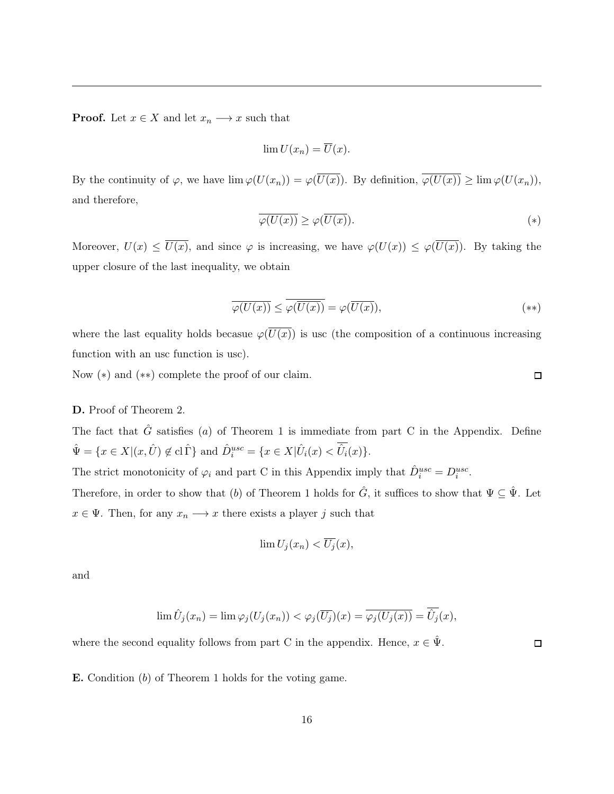**Proof.** Let  $x \in X$  and let  $x_n \longrightarrow x$  such that

$$
\lim U(x_n)=\overline{U}(x).
$$

By the continuity of  $\varphi$ , we have  $\lim \varphi(U(x_n)) = \varphi(\overline{U(x)})$ . By definition,  $\overline{\varphi(U(x))} \geq \lim \varphi(U(x_n))$ , and therefore,

$$
\overline{\varphi(U(x))} \ge \varphi(\overline{U(x)}).
$$
\n<sup>(\*)</sup>

Moreover,  $U(x) \le \overline{U(x)}$ , and since  $\varphi$  is increasing, we have  $\varphi(U(x)) \le \varphi(\overline{U(x)})$ . By taking the upper closure of the last inequality, we obtain

$$
\overline{\varphi(U(x))} \le \overline{\varphi(\overline{U(x)})} = \varphi(\overline{U(x)}),\tag{**}
$$

where the last equality holds becasue  $\varphi(\overline{U(x)})$  is usc (the composition of a continuous increasing function with an usc function is usc).

Now  $(*)$  and  $(**)$  complete the proof of our claim.

#### D. Proof of Theorem 2.

The fact that  $\hat{G}$  satisfies (*a*) of Theorem 1 is immediate from part C in the Appendix. Define  $\hat{\Psi} = \{x \in X | (x, \hat{U}) \notin \text{cl}\,\hat{\Gamma}\}\$ and  $\hat{D}_i^{usc} = \{x \in X | \hat{U}_i(x) < \hat{U}_i(x)\}.$ 

The strict monotonicity of  $\varphi_i$  and part C in this Appendix imply that  $\hat{D}_i^{usc} = D_i^{usc}$ .

Therefore, in order to show that (*b*) of Theorem 1 holds for  $\hat{G}$ , it suffices to show that  $\Psi \subseteq \hat{\Psi}$ . Let  $x \in \Psi$ . Then, for any  $x_n \longrightarrow x$  there exists a player *j* such that

$$
\lim U_j(x_n) < \overline{U_j}(x),
$$

and

$$
\lim \hat{U}_j(x_n) = \lim \varphi_j(U_j(x_n)) < \varphi_j(\overline{U_j})(x) = \overline{\varphi_j(U_j(x))} = \hat{U}_j(x),
$$

where the second equality follows from part C in the appendix. Hence,  $x \in \hat{\Psi}$ .

 $\Box$ 

E. Condition (*b*) of Theorem 1 holds for the voting game.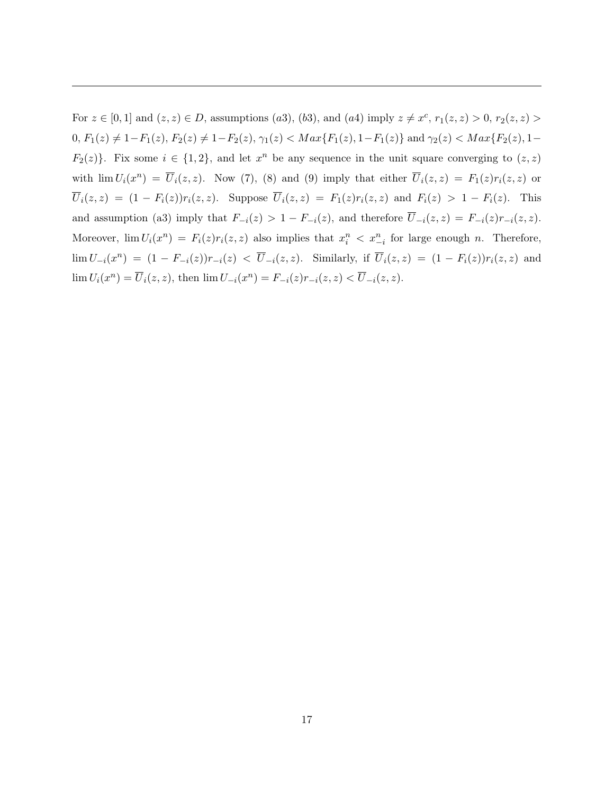For  $z \in [0, 1]$  and  $(z, z) \in D$ , assumptions (*a*3), (*b*3), and (*a*4) imply  $z \neq x^c$ ,  $r_1(z, z) > 0$ ,  $r_2(z, z) > 0$  $0, F_1(z) \neq 1 - F_1(z), F_2(z) \neq 1 - F_2(z), \gamma_1(z) < Max\{F_1(z), 1 - F_1(z)\}$  and  $\gamma_2(z) < Max\{F_2(z), 1 - F_1(z)\}$  $F_2(z)$ }. Fix some  $i \in \{1,2\}$ , and let  $x^n$  be any sequence in the unit square converging to  $(z, z)$ with  $\lim U_i(x^n) = \overline{U}_i(z, z)$ . Now (7), (8) and (9) imply that either  $\overline{U}_i(z, z) = F_1(z)r_i(z, z)$  or  $\overline{U}_i(z, z) = (1 - F_i(z))r_i(z, z)$ . Suppose  $\overline{U}_i(z, z) = F_1(z)r_i(z, z)$  and  $F_i(z) > 1 - F_i(z)$ . This and assumption (a3) imply that  $F_{-i}(z) > 1 - F_{-i}(z)$ , and therefore  $\overline{U}_{-i}(z, z) = F_{-i}(z)r_{-i}(z, z)$ . Moreover,  $\lim U_i(x^n) = F_i(z)r_i(z, z)$  also implies that  $x_i^n < x_{-i}^n$  for large enough *n*. Therefore,  $\lim U_{-i}(x^n) = (1 - F_{-i}(z))r_{-i}(z) < \overline{U}_{-i}(z, z)$ . Similarly, if  $\overline{U}_i(z, z) = (1 - F_i(z))r_i(z, z)$  and  $\lim U_i(x^n) = \overline{U}_i(z, z)$ , then  $\lim U_{-i}(x^n) = F_{-i}(z)r_{-i}(z, z) < \overline{U}_{-i}(z, z)$ .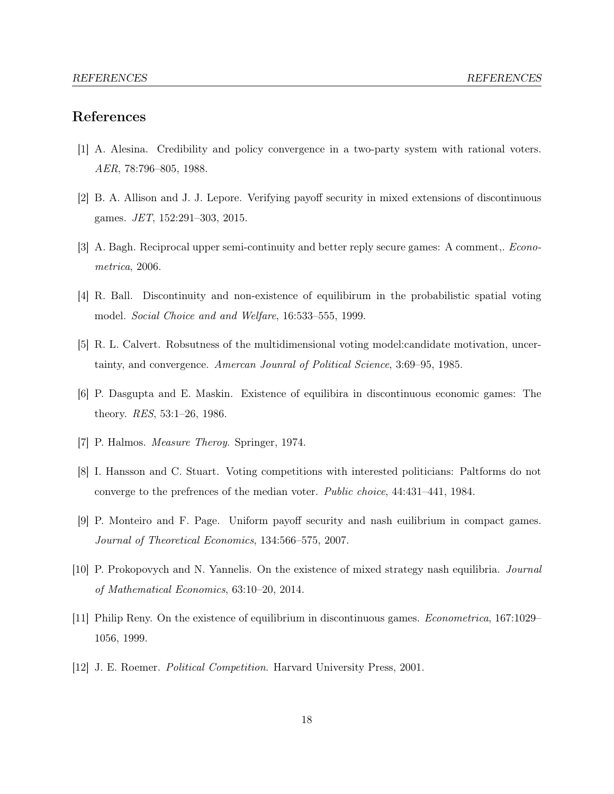### References

- [1] A. Alesina. Credibility and policy convergence in a two-party system with rational voters. *AER*, 78:796–805, 1988.
- [2] B. A. Allison and J. J. Lepore. Verifying payoff security in mixed extensions of discontinuous games. *JET*, 152:291–303, 2015.
- [3] A. Bagh. Reciprocal upper semi-continuity and better reply secure games: A comment,. *Econometrica*, 2006.
- [4] R. Ball. Discontinuity and non-existence of equilibirum in the probabilistic spatial voting model. *Social Choice and and Welfare*, 16:533–555, 1999.
- [5] R. L. Calvert. Robsutness of the multidimensional voting model:candidate motivation, uncertainty, and convergence. *Amercan Jounral of Political Science*, 3:69–95, 1985.
- [6] P. Dasgupta and E. Maskin. Existence of equilibira in discontinuous economic games: The theory. *RES*, 53:1–26, 1986.
- [7] P. Halmos. *Measure Theroy*. Springer, 1974.
- [8] I. Hansson and C. Stuart. Voting competitions with interested politicians: Paltforms do not converge to the prefrences of the median voter. *Public choice*, 44:431–441, 1984.
- [9] P. Monteiro and F. Page. Uniform payoff security and nash euilibrium in compact games. *Journal of Theoretical Economics*, 134:566–575, 2007.
- [10] P. Prokopovych and N. Yannelis. On the existence of mixed strategy nash equilibria. *Journal of Mathematical Economics*, 63:10–20, 2014.
- [11] Philip Reny. On the existence of equilibrium in discontinuous games. *Econometrica*, 167:1029– 1056, 1999.
- [12] J. E. Roemer. *Political Competition*. Harvard University Press, 2001.